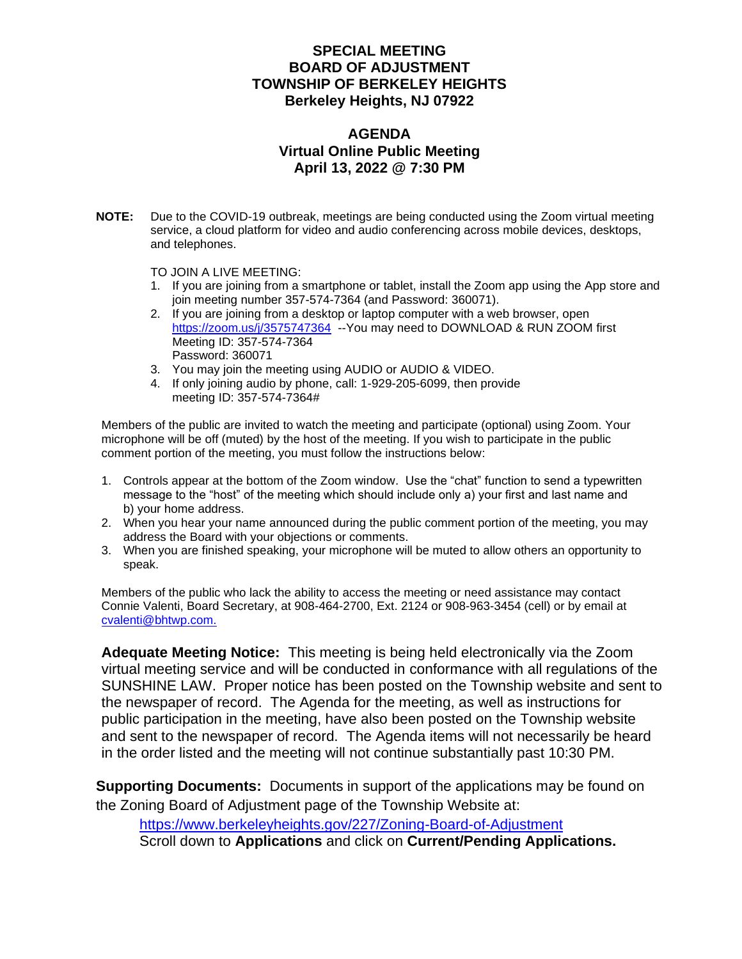#### **SPECIAL MEETING BOARD OF ADJUSTMENT TOWNSHIP OF BERKELEY HEIGHTS Berkeley Heights, NJ 07922**

#### **AGENDA Virtual Online Public Meeting April 13, 2022 @ 7:30 PM**

**NOTE:** Due to the COVID-19 outbreak, meetings are being conducted using the Zoom virtual meeting service, a cloud platform for video and audio conferencing across mobile devices, desktops, and telephones.

TO JOIN A LIVE MEETING:

- 1. If you are joining from a smartphone or tablet, install the Zoom app using the App store and join meeting number 357-574-7364 (and Password: 360071).
- 2. If you are joining from a desktop or laptop computer with a web browser, open <https://zoom.us/j/3575747364>--You may need to DOWNLOAD & RUN ZOOM first Meeting ID: 357-574-7364 Password: 360071
- 3. You may join the meeting using AUDIO or AUDIO & VIDEO.
- 4. If only joining audio by phone, call: 1-929-205-6099, then provide meeting ID: 357-574-7364#

Members of the public are invited to watch the meeting and participate (optional) using Zoom. Your microphone will be off (muted) by the host of the meeting. If you wish to participate in the public comment portion of the meeting, you must follow the instructions below:

- 1. Controls appear at the bottom of the Zoom window. Use the "chat" function to send a typewritten message to the "host" of the meeting which should include only a) your first and last name and b) your home address.
- 2. When you hear your name announced during the public comment portion of the meeting, you may address the Board with your objections or comments.
- 3. When you are finished speaking, your microphone will be muted to allow others an opportunity to speak.

Members of the public who lack the ability to access the meeting or need assistance may contact Connie Valenti, Board Secretary, at 908-464-2700, Ext. 2124 or 908-963-3454 (cell) or by email at [cvalenti@bhtwp.com.](mailto:cvalenti@bhtwp.com)

**Adequate Meeting Notice:** This meeting is being held electronically via the Zoom virtual meeting service and will be conducted in conformance with all regulations of the SUNSHINE LAW. Proper notice has been posted on the Township website and sent to the newspaper of record. The Agenda for the meeting, as well as instructions for public participation in the meeting, have also been posted on the Township website and sent to the newspaper of record. The Agenda items will not necessarily be heard in the order listed and the meeting will not continue substantially past 10:30 PM.

**Supporting Documents:** Documents in support of the applications may be found on the Zoning Board of Adjustment page of the Township Website at:

<https://www.berkeleyheights.gov/227/Zoning-Board-of-Adjustment> Scroll down to **Applications** and click on **Current/Pending Applications.**